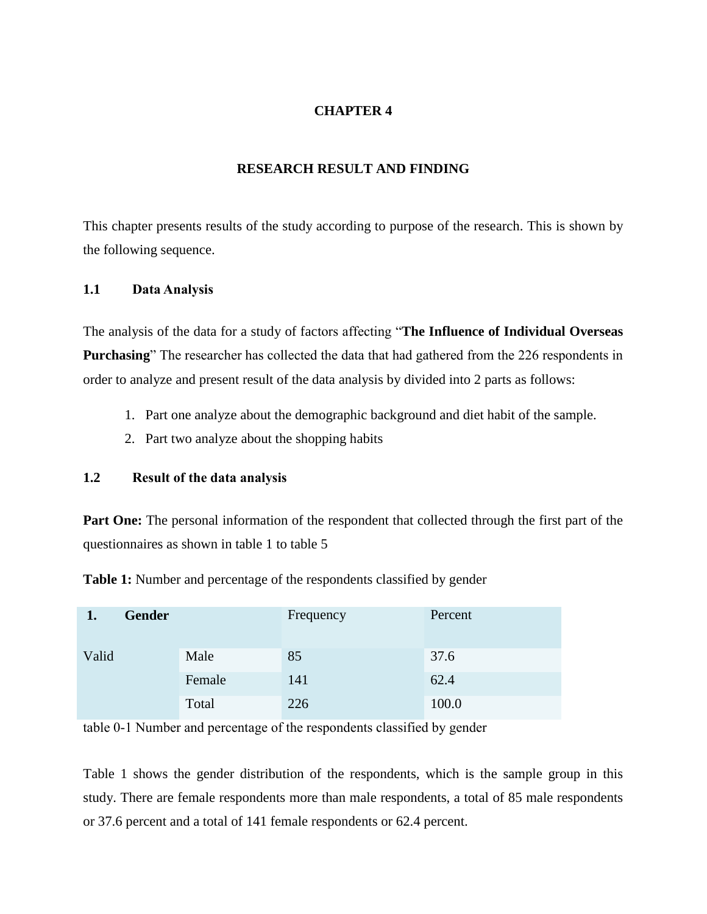# **CHAPTER 4**

### **RESEARCH RESULT AND FINDING**

This chapter presents results of the study according to purpose of the research. This is shown by the following sequence.

#### **1.1 Data Analysis**

The analysis of the data for a study of factors affecting "**The Influence of Individual Overseas Purchasing**" The researcher has collected the data that had gathered from the 226 respondents in order to analyze and present result of the data analysis by divided into 2 parts as follows:

- 1. Part one analyze about the demographic background and diet habit of the sample.
- 2. Part two analyze about the shopping habits

# **1.2 Result of the data analysis**

Part One: The personal information of the respondent that collected through the first part of the questionnaires as shown in table 1 to table 5

**Table 1:** Number and percentage of the respondents classified by gender

| <b>Gender</b> |        | Frequency | Percent |
|---------------|--------|-----------|---------|
| Valid         | Male   | 85        | 37.6    |
|               | Female | 141       | 62.4    |
|               | Total  | 226       | 100.0   |

table 0-1 Number and percentage of the respondents classified by gender

Table 1 shows the gender distribution of the respondents, which is the sample group in this study. There are female respondents more than male respondents, a total of 85 male respondents or 37.6 percent and a total of 141 female respondents or 62.4 percent.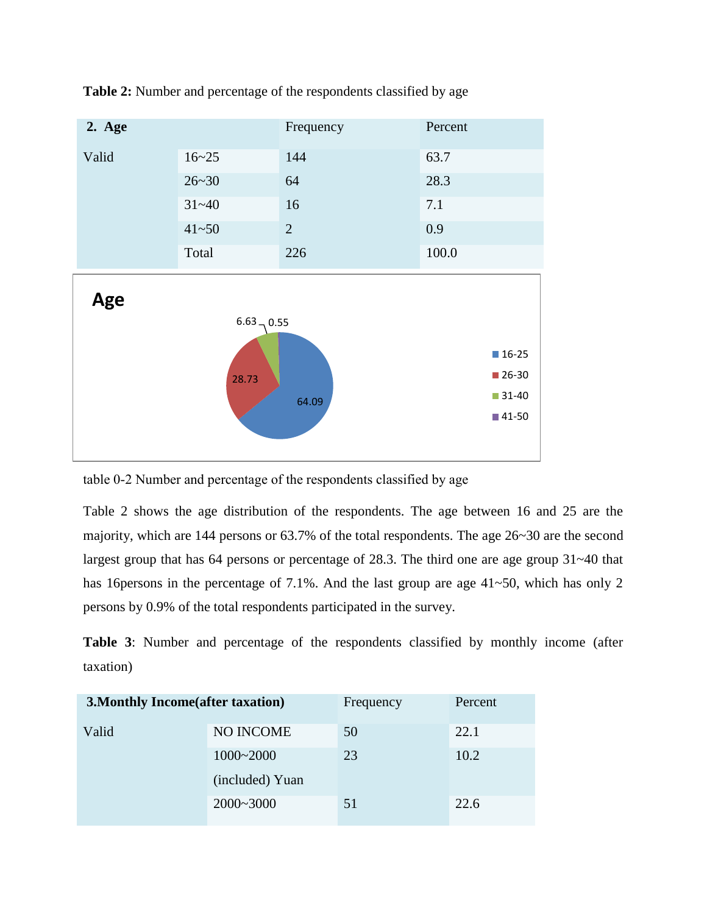

**Table 2:** Number and percentage of the respondents classified by age

table 0-2 Number and percentage of the respondents classified by age

Table 2 shows the age distribution of the respondents. The age between 16 and 25 are the majority, which are 144 persons or 63.7% of the total respondents. The age 26~30 are the second largest group that has 64 persons or percentage of 28.3. The third one are age group 31~40 that has 16 persons in the percentage of 7.1%. And the last group are age 41~50, which has only 2 persons by 0.9% of the total respondents participated in the survey.

**Table 3**: Number and percentage of the respondents classified by monthly income (after taxation)

| <b>3. Monthly Income (after taxation)</b> |                  | Frequency | Percent |
|-------------------------------------------|------------------|-----------|---------|
| Valid                                     | <b>NO INCOME</b> | 50        | 22.1    |
|                                           | $1000 - 2000$    | 23        | 10.2    |
|                                           | (included) Yuan  |           |         |
|                                           | $2000 - 3000$    | 51        | 22.6    |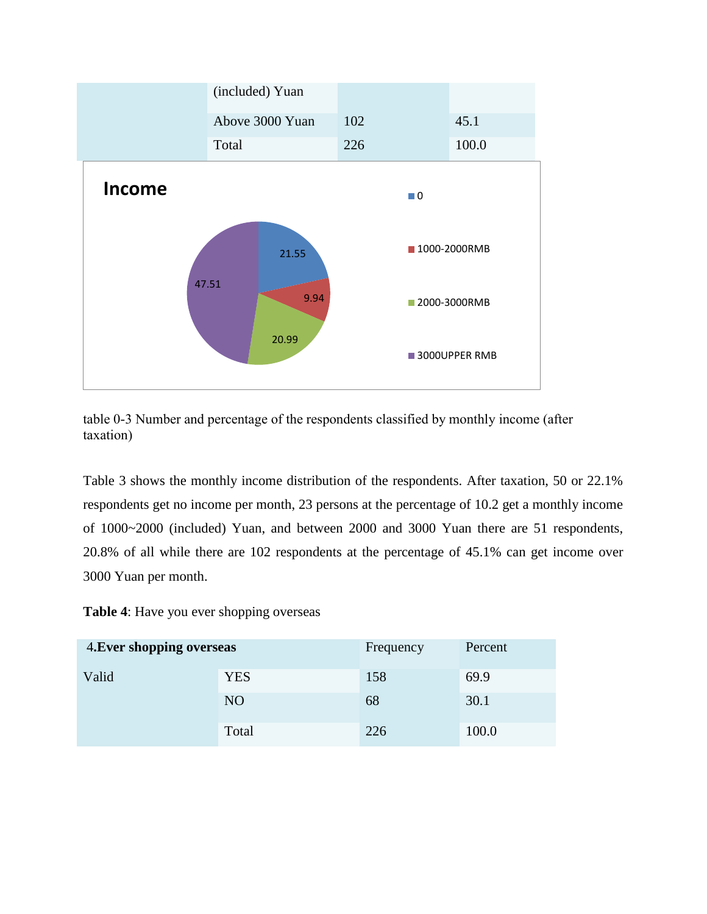

table 0-3 Number and percentage of the respondents classified by monthly income (after taxation)

Table 3 shows the monthly income distribution of the respondents. After taxation, 50 or 22.1% respondents get no income per month, 23 persons at the percentage of 10.2 get a monthly income of 1000~2000 (included) Yuan, and between 2000 and 3000 Yuan there are 51 respondents, 20.8% of all while there are 102 respondents at the percentage of 45.1% can get income over 3000 Yuan per month.

**Table 4**: Have you ever shopping overseas

| 4. Ever shopping overseas |            | Frequency | Percent |
|---------------------------|------------|-----------|---------|
| Valid                     | <b>YES</b> | 158       | 69.9    |
|                           | NO         | 68        | 30.1    |
|                           | Total      | 226       | 100.0   |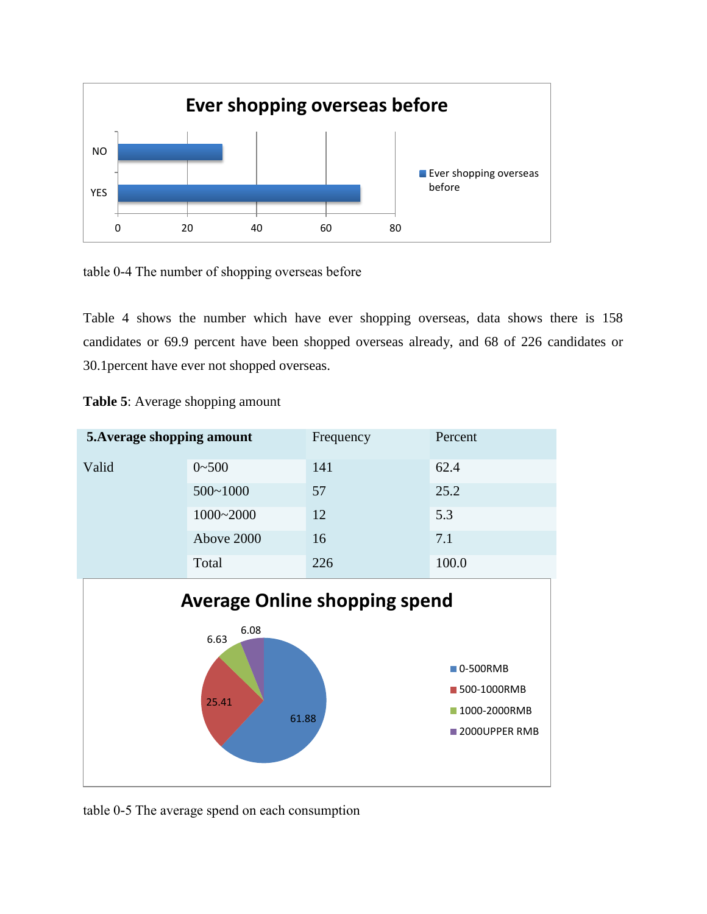

table 0-4 The number of shopping overseas before

Table 4 shows the number which have ever shopping overseas, data shows there is 158 candidates or 69.9 percent have been shopped overseas already, and 68 of 226 candidates or 30.1percent have ever not shopped overseas.



61.88

**1000-2000RMB** 2000UPPER RMB

**Table 5**: Average shopping amount

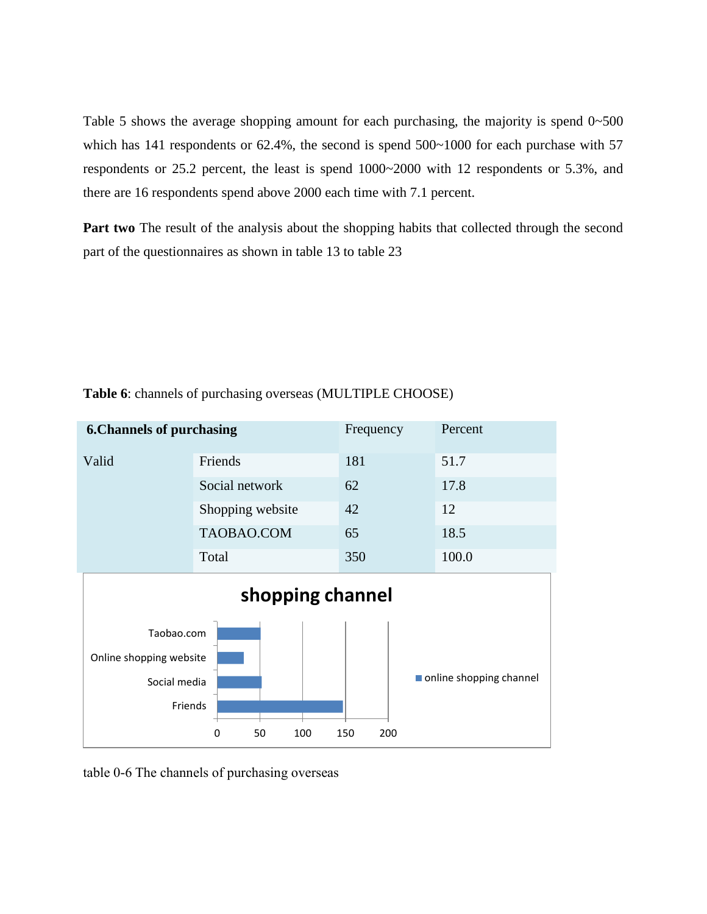Table 5 shows the average shopping amount for each purchasing, the majority is spend  $0\nu$ -500 which has 141 respondents or 62.4%, the second is spend 500~1000 for each purchase with 57 respondents or 25.2 percent, the least is spend 1000~2000 with 12 respondents or 5.3%, and there are 16 respondents spend above 2000 each time with 7.1 percent.

**Part two** The result of the analysis about the shopping habits that collected through the second part of the questionnaires as shown in table 13 to table 23



**Table 6**: channels of purchasing overseas (MULTIPLE CHOOSE)

table 0-6 The channels of purchasing overseas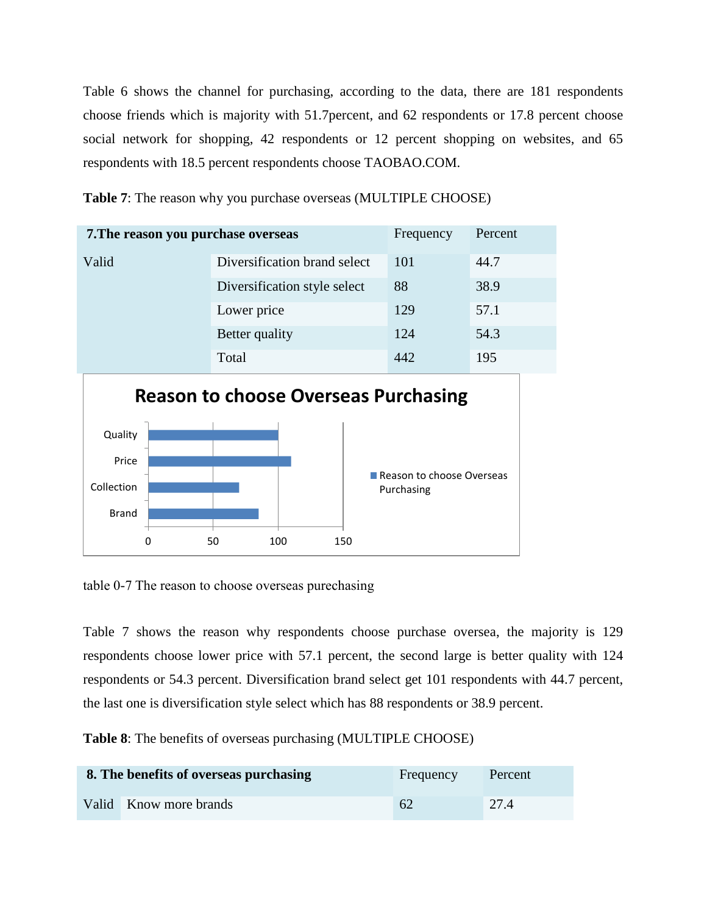Table 6 shows the channel for purchasing, according to the data, there are 181 respondents choose friends which is majority with 51.7percent, and 62 respondents or 17.8 percent choose social network for shopping, 42 respondents or 12 percent shopping on websites, and 65 respondents with 18.5 percent respondents choose TAOBAO.COM.

**Table 7**: The reason why you purchase overseas (MULTIPLE CHOOSE)

| 7. The reason you purchase overseas |                              | Frequency | Percent |
|-------------------------------------|------------------------------|-----------|---------|
| Valid                               | Diversification brand select | 101       | 44.7    |
|                                     | Diversification style select | 88        | 38.9    |
|                                     | Lower price                  | 129       | 57.1    |
|                                     | Better quality               | 124       | 54.3    |
|                                     | Total                        | 442       | 195     |



table 0-7 The reason to choose overseas purechasing

Table 7 shows the reason why respondents choose purchase oversea, the majority is 129 respondents choose lower price with 57.1 percent, the second large is better quality with 124 respondents or 54.3 percent. Diversification brand select get 101 respondents with 44.7 percent, the last one is diversification style select which has 88 respondents or 38.9 percent.

**Table 8**: The benefits of overseas purchasing (MULTIPLE CHOOSE)

| 8. The benefits of overseas purchasing | Frequency | Percent |
|----------------------------------------|-----------|---------|
| Valid Know more brands                 | 62        | 27.4    |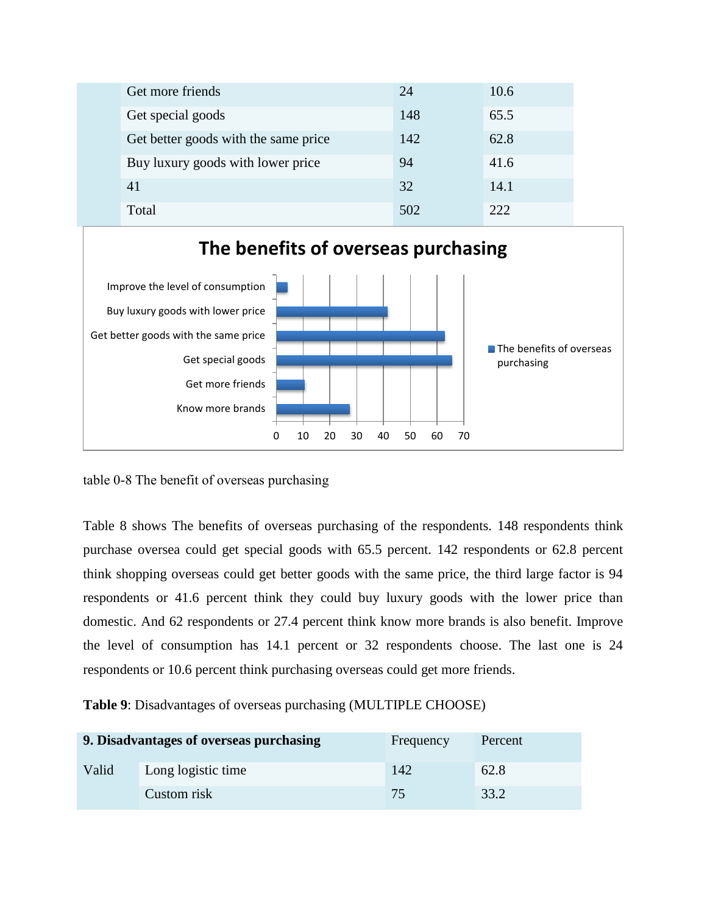| Get more friends                     | 24  | 10.6 |
|--------------------------------------|-----|------|
| Get special goods                    | 148 | 65.5 |
| Get better goods with the same price | 142 | 62.8 |
| Buy luxury goods with lower price    | 94  | 41.6 |
| 41                                   | 32  | 14.1 |
| Total                                | 502 | 222  |



table 0-8 The benefit of overseas purchasing

Table 8 shows The benefits of overseas purchasing of the respondents. 148 respondents think purchase oversea could get special goods with 65.5 percent. 142 respondents or 62.8 percent think shopping overseas could get better goods with the same price, the third large factor is 94 respondents or 41.6 percent think they could buy luxury goods with the lower price than domestic. And 62 respondents or 27.4 percent think know more brands is also benefit. Improve the level of consumption has 14.1 percent or 32 respondents choose. The last one is 24 respondents or 10.6 percent think purchasing overseas could get more friends.

**Table 9**: Disadvantages of overseas purchasing (MULTIPLE CHOOSE)

|       | 9. Disadvantages of overseas purchasing | Frequency | Percent |
|-------|-----------------------------------------|-----------|---------|
| Valid | Long logistic time                      | 142       | 62.8    |
|       | Custom risk                             | 75.       | 33.2    |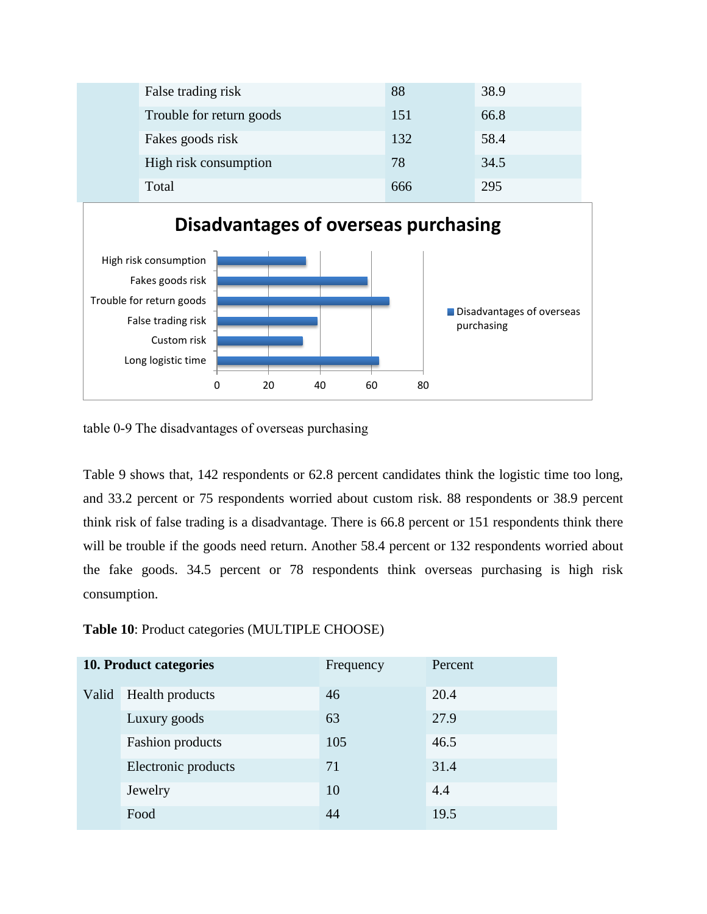| False trading risk       | 88  | 38.9 |
|--------------------------|-----|------|
| Trouble for return goods | 151 | 66.8 |
| Fakes goods risk         | 132 | 58.4 |
| High risk consumption    | 78  | 34.5 |
| Total                    | 666 | 295  |



table 0-9 The disadvantages of overseas purchasing

Table 9 shows that, 142 respondents or 62.8 percent candidates think the logistic time too long, and 33.2 percent or 75 respondents worried about custom risk. 88 respondents or 38.9 percent think risk of false trading is a disadvantage. There is 66.8 percent or 151 respondents think there will be trouble if the goods need return. Another 58.4 percent or 132 respondents worried about the fake goods. 34.5 percent or 78 respondents think overseas purchasing is high risk consumption.

**Table 10**: Product categories (MULTIPLE CHOOSE)

|       | 10. Product categories  | Frequency | Percent |
|-------|-------------------------|-----------|---------|
| Valid | Health products         | 46        | 20.4    |
|       | Luxury goods            | 63        | 27.9    |
|       | <b>Fashion</b> products | 105       | 46.5    |
|       | Electronic products     | 71        | 31.4    |
|       | Jewelry                 | 10        | 4.4     |
|       | Food                    | 44        | 19.5    |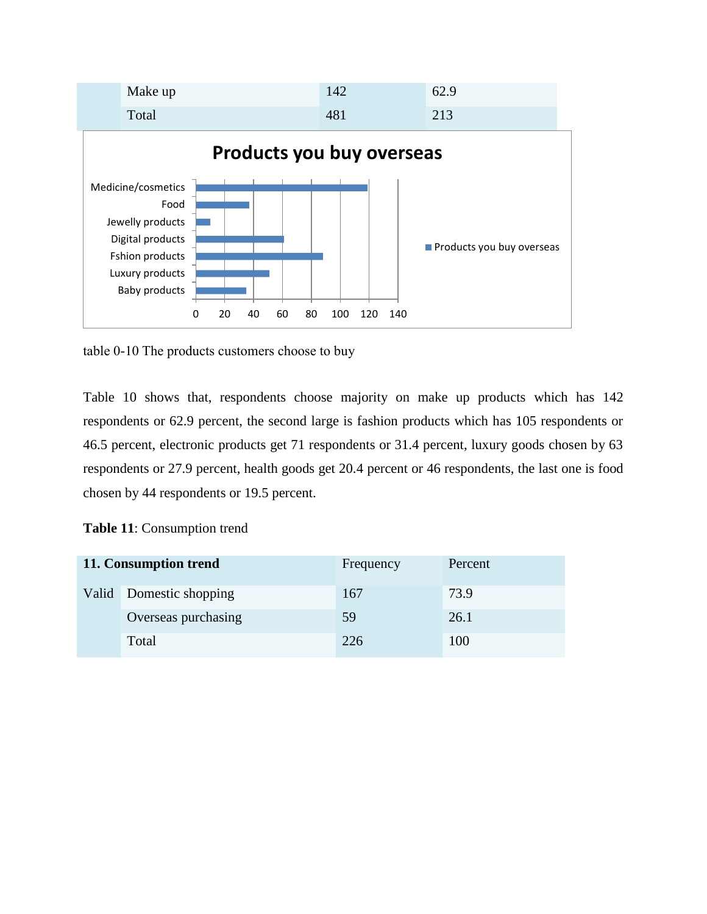

table 0-10 The products customers choose to buy

Table 10 shows that, respondents choose majority on make up products which has 142 respondents or 62.9 percent, the second large is fashion products which has 105 respondents or 46.5 percent, electronic products get 71 respondents or 31.4 percent, luxury goods chosen by 63 respondents or 27.9 percent, health goods get 20.4 percent or 46 respondents, the last one is food chosen by 44 respondents or 19.5 percent.

| Table 11: Consumption trend |  |  |
|-----------------------------|--|--|
|-----------------------------|--|--|

| 11. Consumption trend   | Frequency | Percent |
|-------------------------|-----------|---------|
| Valid Domestic shopping | 167       | 73.9    |
| Overseas purchasing     | 59        | 26.1    |
| Total                   | 226       | 100     |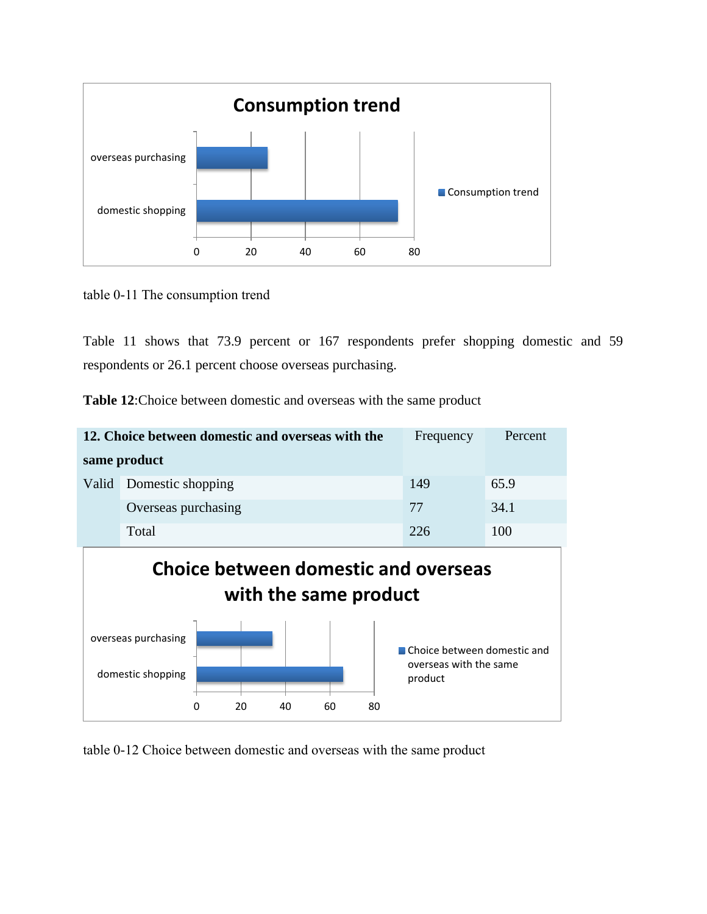

table 0-11 The consumption trend

Table 11 shows that 73.9 percent or 167 respondents prefer shopping domestic and 59 respondents or 26.1 percent choose overseas purchasing.

| <b>Table 12:</b> Choice between domestic and overseas with the same product |
|-----------------------------------------------------------------------------|
|-----------------------------------------------------------------------------|

| 12. Choice between domestic and overseas with the                                                            |                     | Frequency | Percent |  |
|--------------------------------------------------------------------------------------------------------------|---------------------|-----------|---------|--|
|                                                                                                              | same product        |           |         |  |
| Valid                                                                                                        | Domestic shopping   | 149       | 65.9    |  |
|                                                                                                              | Overseas purchasing | 77        | 34.1    |  |
|                                                                                                              | Total               | 226       | 100     |  |
| <b>Choice between domestic and overseas</b><br>with the same product                                         |                     |           |         |  |
| overseas purchasing<br>Choice between domestic and<br>overseas with the same<br>domestic shopping<br>product |                     |           |         |  |

table 0-12 Choice between domestic and overseas with the same product

0 20 40 60 80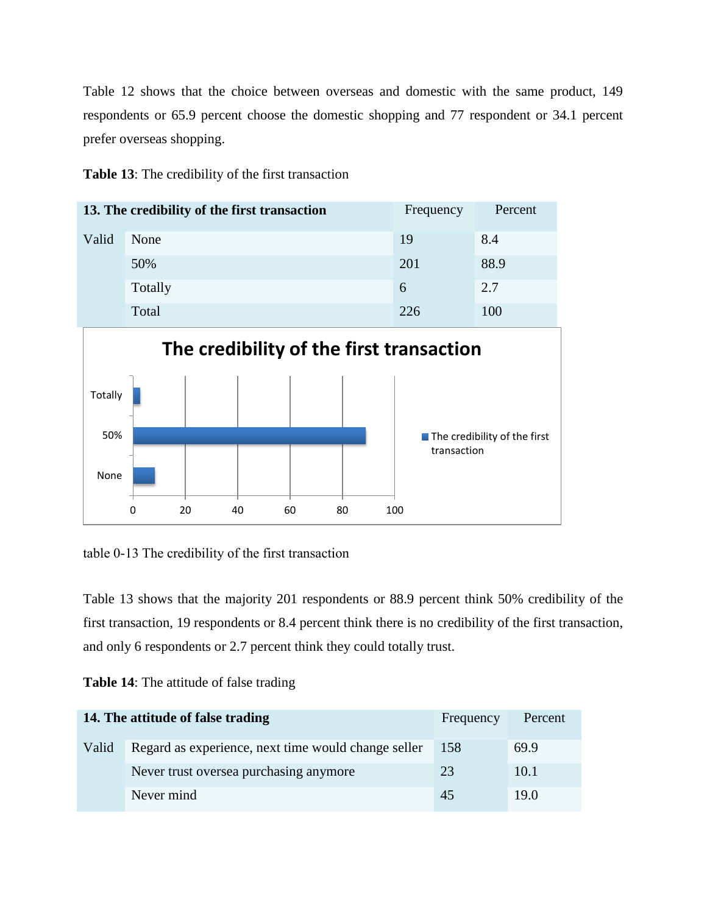Table 12 shows that the choice between overseas and domestic with the same product, 149 respondents or 65.9 percent choose the domestic shopping and 77 respondent or 34.1 percent prefer overseas shopping.



|       | 13. The credibility of the first transaction | Frequency | Percent |
|-------|----------------------------------------------|-----------|---------|
| Valid | None                                         | 19        | 8.4     |
|       | 50%                                          | 201       | 88.9    |
|       | Totally                                      | 6         | 2.7     |
|       | Total                                        | 226       | 100     |



table 0-13 The credibility of the first transaction

Table 13 shows that the majority 201 respondents or 88.9 percent think 50% credibility of the first transaction, 19 respondents or 8.4 percent think there is no credibility of the first transaction, and only 6 respondents or 2.7 percent think they could totally trust.

| <b>Table 14:</b> The attitude of false trading |  |
|------------------------------------------------|--|
|------------------------------------------------|--|

|       | 14. The attitude of false trading                   | Frequency | Percent |
|-------|-----------------------------------------------------|-----------|---------|
| Valid | Regard as experience, next time would change seller | 158       | 69.9    |
|       | Never trust oversea purchasing anymore              | 23        | 10.1    |
|       | Never mind                                          | 45        | 19.0    |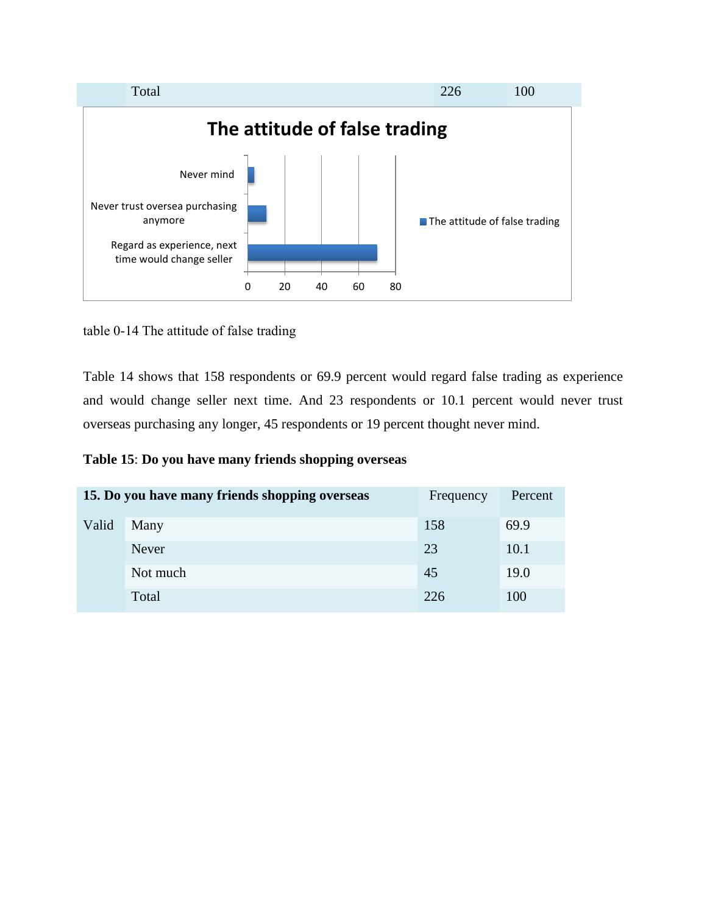

table 0-14 The attitude of false trading

Table 14 shows that 158 respondents or 69.9 percent would regard false trading as experience and would change seller next time. And 23 respondents or 10.1 percent would never trust overseas purchasing any longer, 45 respondents or 19 percent thought never mind.

# **Table 15**: **Do you have many friends shopping overseas**

|       | 15. Do you have many friends shopping overseas | Frequency | Percent |
|-------|------------------------------------------------|-----------|---------|
| Valid | Many                                           | 158       | 69.9    |
|       | <b>Never</b>                                   | 23        | 10.1    |
|       | Not much                                       | 45        | 19.0    |
|       | Total                                          | 226       | 100     |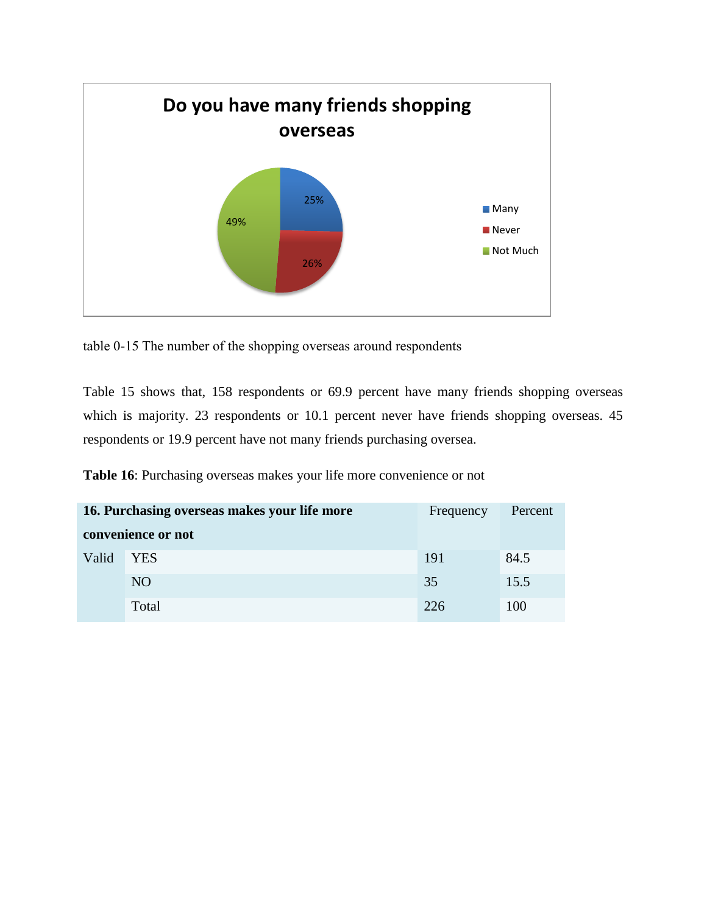

table 0-15 The number of the shopping overseas around respondents

Table 15 shows that, 158 respondents or 69.9 percent have many friends shopping overseas which is majority. 23 respondents or 10.1 percent never have friends shopping overseas. 45 respondents or 19.9 percent have not many friends purchasing oversea.

**Table 16**: Purchasing overseas makes your life more convenience or not

| 16. Purchasing overseas makes your life more |                    | Frequency | Percent |
|----------------------------------------------|--------------------|-----------|---------|
|                                              | convenience or not |           |         |
| Valid                                        | <b>YES</b>         | 191       | 84.5    |
|                                              | NO.                | 35        | 15.5    |
|                                              | Total              | 226       | 100     |